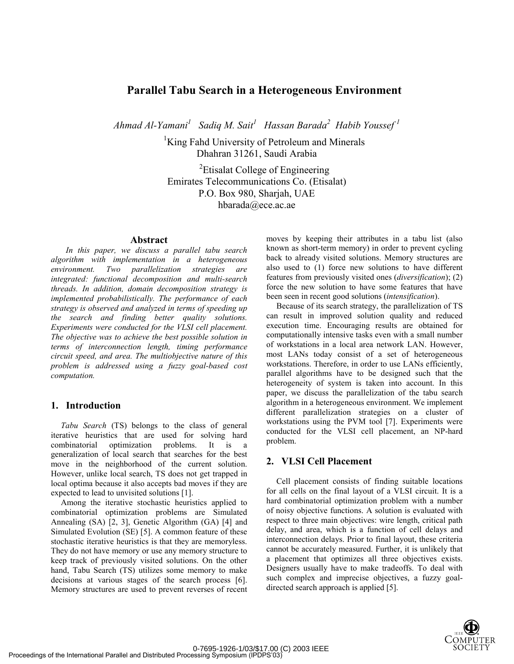# **Parallel Tabu Search in a Heterogeneous Environment**

*Ahmad Al-Yamani1 Sadiq M. Sait<sup>1</sup> Hassan Barada2 Habib Youssef 1* 

<sup>1</sup>King Fahd University of Petroleum and Minerals Dhahran 31261, Saudi Arabia

<sup>2</sup> Etisalat College of Engineering Emirates Telecommunications Co. (Etisalat) P.O. Box 980, Sharjah, UAE hbarada@ece.ac.ae

### **Abstract**

*In this paper, we discuss a parallel tabu search algorithm with implementation in a heterogeneous environment. Two parallelization strategies are integrated: functional decomposition and multi-search threads. In addition, domain decomposition strategy is implemented probabilistically. The performance of each strategy is observed and analyzed in terms of speeding up the search and finding better quality solutions. Experiments were conducted for the VLSI cell placement. The objective was to achieve the best possible solution in terms of interconnection length, timing performance circuit speed, and area. The multiobjective nature of this problem is addressed using a fuzzy goal-based cost computation.* 

## **1. Introduction**

*Tabu Search* (TS) belongs to the class of general iterative heuristics that are used for solving hard combinatorial optimization problems. It is a generalization of local search that searches for the best move in the neighborhood of the current solution. However, unlike local search, TS does not get trapped in local optima because it also accepts bad moves if they are expected to lead to unvisited solutions [1].

Among the iterative stochastic heuristics applied to combinatorial optimization problems are Simulated Annealing (SA) [2, 3], Genetic Algorithm (GA) [4] and Simulated Evolution (SE) [5]. A common feature of these stochastic iterative heuristics is that they are memoryless. They do not have memory or use any memory structure to keep track of previously visited solutions. On the other hand, Tabu Search (TS) utilizes some memory to make decisions at various stages of the search process [6]. Memory structures are used to prevent reverses of recent

moves by keeping their attributes in a tabu list (also known as short-term memory) in order to prevent cycling back to already visited solutions. Memory structures are also used to (1) force new solutions to have different features from previously visited ones (*diversification*); (2) force the new solution to have some features that have been seen in recent good solutions (*intensification*).

Because of its search strategy, the parallelization of TS can result in improved solution quality and reduced execution time. Encouraging results are obtained for computationally intensive tasks even with a small number of workstations in a local area network LAN. However, most LANs today consist of a set of heterogeneous workstations. Therefore, in order to use LANs efficiently, parallel algorithms have to be designed such that the heterogeneity of system is taken into account. In this paper, we discuss the parallelization of the tabu search algorithm in a heterogeneous environment. We implement different parallelization strategies on a cluster of workstations using the PVM tool [7]. Experiments were conducted for the VLSI cell placement, an NP-hard problem.

## **2. VLSI Cell Placement**

Cell placement consists of finding suitable locations for all cells on the final layout of a VLSI circuit. It is a hard combinatorial optimization problem with a number of noisy objective functions. A solution is evaluated with respect to three main objectives: wire length, critical path delay, and area, which is a function of cell delays and interconnection delays. Prior to final layout, these criteria cannot be accurately measured. Further, it is unlikely that a placement that optimizes all three objectives exists. Designers usually have to make tradeoffs. To deal with such complex and imprecise objectives, a fuzzy goaldirected search approach is applied [5].

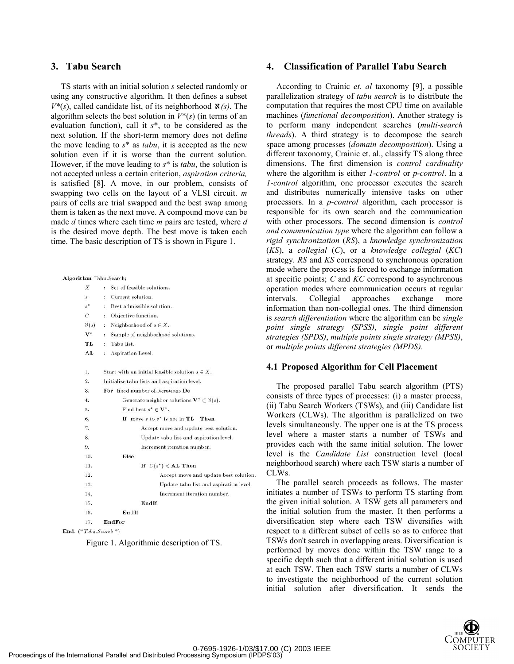#### **3. Tabu Search**

TS starts with an initial solution *s* selected randomly or using any constructive algorithm. It then defines a subset  $V^*(s)$ , called candidate list, of its neighborhood  $\aleph(s)$ . The algorithm selects the best solution in  $V^*(s)$  (in terms of an evaluation function), call it *s*\*, to be considered as the next solution. If the short-term memory does not define the move leading to *s*\* as *tabu*, it is accepted as the new solution even if it is worse than the current solution. However, if the move leading to *s*\* is *tabu*, the solution is not accepted unless a certain criterion, *aspiration criteria,* is satisfied [8]. A move, in our problem, consists of swapping two cells on the layout of a VLSI circuit. *m* pairs of cells are trial swapped and the best swap among them is taken as the next move. A compound move can be made *d* times where each time *m* pairs are tested, where *d* is the desired move depth. The best move is taken each time. The basic description of TS is shown in Figure 1.

|               | Algorithm Tabu_Search;                                |
|---------------|-------------------------------------------------------|
| X             | Set of feasible solutions.<br>ŗ.                      |
| $\mathcal{S}$ | Current solution.<br>÷                                |
| $s^*$         | Best admissible solution.<br>÷                        |
| C             | Objective function.<br>t.                             |
| $\aleph(s)$   | Neighborhood of $s \in X$ .<br>۰                      |
| $V^*$         | Sample of neighborhood solutions.<br>÷                |
| TL            | Tabu list.<br>÷                                       |
| AL            | Aspiration Level.<br>÷.                               |
| 1.            | Start with an initial feasible solution $s \in X$ .   |
| 2.            | Initialize tabu lists and aspiration level.           |
| 3.            | For fixed number of iterations Do                     |
| 4.            | Generate neighbor solutions $V^* \subset \aleph(s)$ . |
| 5.            | Find best $s^* \in V^*$ .                             |
| 6.            | If move $s$ to $s^*$ is not in TL<br>Then             |
| 7.            | Accept move and update best solution.                 |
| 8.            | Update tabu list and aspiration level.                |
| 9.            | Increment iteration number.                           |
| 10.           | Else                                                  |
| 11.           | If $C(s^*) <$ AL Then                                 |
| 12.           | Accept move and update best solution.                 |
| 13.           | Update tabu list and aspiration level.                |
| 14.           | Increment iteration number.                           |
| 15.           | EndIf                                                 |
| 16.           | EndIf                                                 |
| 17.           | EndFor                                                |
| $\sim$ $\sim$ | $7 - 16$                                              |

End.  $(*\textit{Tabu\_Search} *)$ 

Figure 1. Algorithmic description of TS.

#### **4. Classification of Parallel Tabu Search**

According to Crainic *et. al* taxonomy [9], a possible parallelization strategy of *tabu search* is to distribute the computation that requires the most CPU time on available machines (*functional decomposition*). Another strategy is to perform many independent searches (*multi-search threads*). A third strategy is to decompose the search space among processes (*domain decomposition*). Using a different taxonomy, Crainic et. al., classify TS along three dimensions. The first dimension is *control cardinality* where the algorithm is either *1-control* or *p-control*. In a *1-control* algorithm, one processor executes the search and distributes numerically intensive tasks on other processors. In a *p-control* algorithm, each processor is responsible for its own search and the communication with other processors. The second dimension is *control and communication type* where the algorithm can follow a *rigid synchronization* (*RS*), a *knowledge synchronization* (*KS*), a *collegial* (*C*), or a *knowledge collegial* (*KC*) strategy. *RS* and *KS* correspond to synchronous operation mode where the process is forced to exchange information at specific points; *C* and *KC* correspond to asynchronous operation modes where communication occurs at regular intervals. Collegial approaches exchange more information than non-collegial ones. The third dimension is *search differentiation* where the algorithm can be *single point single strategy (SPSS)*, *single point different strategies (SPDS)*, *multiple points single strategy (MPSS)*, or *multiple points different strategies (MPDS)*.

#### **4.1 Proposed Algorithm for Cell Placement**

The proposed parallel Tabu search algorithm (PTS) consists of three types of processes: (i) a master process, (ii) Tabu Search Workers (TSWs), and (iii) Candidate list Workers (CLWs). The algorithm is parallelized on two levels simultaneously. The upper one is at the TS process level where a master starts a number of TSWs and provides each with the same initial solution. The lower level is the *Candidate List* construction level (local neighborhood search) where each TSW starts a number of CLWs.

The parallel search proceeds as follows. The master initiates a number of TSWs to perform TS starting from the given initial solution. A TSW gets all parameters and the initial solution from the master. It then performs a diversification step where each TSW diversifies with respect to a different subset of cells so as to enforce that TSWs don't search in overlapping areas. Diversification is performed by moves done within the TSW range to a specific depth such that a different initial solution is used at each TSW. Then each TSW starts a number of CLWs to investigate the neighborhood of the current solution initial solution after diversification. It sends the

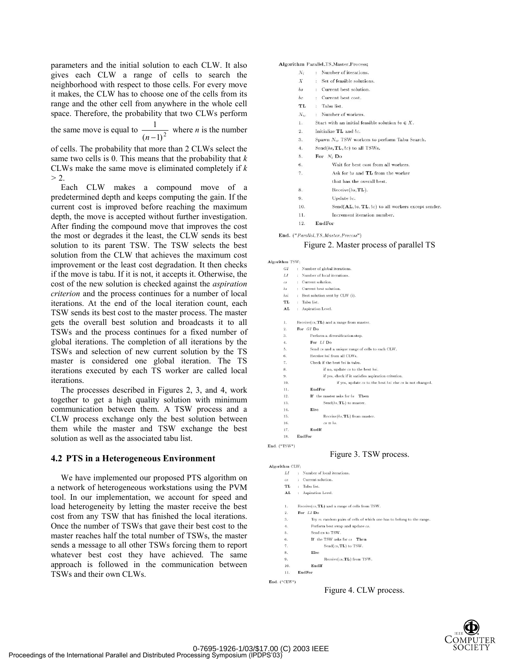parameters and the initial solution to each CLW. It also gives each CLW a range of cells to search the neighborhood with respect to those cells. For every move it makes, the CLW has to choose one of the cells from its range and the other cell from anywhere in the whole cell space. Therefore, the probability that two CLWs perform

the same move is equal to  $\frac{1}{(n-1)^2}$  $\frac{1}{(n-1)^2}$  where *n* is the number

of cells. The probability that more than 2 CLWs select the same two cells is 0. This means that the probability that *k*  CLWs make the same move is eliminated completely if *k*   $> 2$ .

Each CLW makes a compound move of a predetermined depth and keeps computing the gain. If the current cost is improved before reaching the maximum depth, the move is accepted without further investigation. After finding the compound move that improves the cost the most or degrades it the least, the CLW sends its best solution to its parent TSW. The TSW selects the best solution from the CLW that achieves the maximum cost improvement or the least cost degradation. It then checks if the move is tabu. If it is not, it accepts it. Otherwise, the cost of the new solution is checked against the *aspiration criterion* and the process continues for a number of local iterations. At the end of the local iteration count, each TSW sends its best cost to the master process. The master gets the overall best solution and broadcasts it to all TSWs and the process continues for a fixed number of global iterations. The completion of all iterations by the TSWs and selection of new current solution by the TS master is considered one global iteration. The TS iterations executed by each TS worker are called local iterations.

The processes described in Figures 2, 3, and 4, work together to get a high quality solution with minimum communication between them. A TSW process and a CLW process exchange only the best solution between them while the master and TSW exchange the best solution as well as the associated tabu list.

### **4.2 PTS in a Heterogeneous Environment**

We have implemented our proposed PTS algorithm on a network of heterogeneous workstations using the PVM tool. In our implementation, we account for speed and load heterogeneity by letting the master receive the best cost from any TSW that has finished the local iterations. Once the number of TSWs that gave their best cost to the master reaches half the total number of TSWs, the master sends a message to all other TSWs forcing them to report whatever best cost they have achieved. The same approach is followed in the communication between TSWs and their own CLWs.

| Algorithm Parallel_TS_Master_Process; |
|---------------------------------------|
|                                       |

| $N_i$            | Number of iterations.                                 |
|------------------|-------------------------------------------------------|
| $\boldsymbol{X}$ | Set of feasible solutions.<br>÷                       |
| bs               | Current best solution.<br>÷.                          |
| bc               | Current best cost.                                    |
| TL               | Tabu list.<br>÷                                       |
| $N_w$            | Number of workers.                                    |
| 1.               | Start with an initial feasible solution $bs \in X$ .  |
| 2.               | Initialize $TL$ and bc.                               |
| 3.               | Spawn $N_w$ TSW workers to perform Tabu Search.       |
| 4.               | Send $(bs, TL, bc)$ to all TSWs.                      |
| 5.               | For $N_i$ Do                                          |
| 6.               | Wait for best cost from all workers.                  |
| 7.               | Ask for bs and TL from the worker                     |
|                  | that has the overall best.                            |
| 8.               | $\text{Receive}(bs, TL)$ .                            |
| 9.               | Update bc.                                            |
| 10.              | Send $(AL, bs, TL, bc)$ to all workers except sender. |
|                  |                                                       |

- $11.$ Increment iteration number
- EndFor  $12.$

End. (\*Parallel\_TS\_Master\_Process\*)

#### Figure 2. Master process of parallel TS

| Algorithm TSW; |                                                           |
|----------------|-----------------------------------------------------------|
| GI             | Number of global iterations.<br>÷.                        |
| LI             | Number of local iterations.<br>÷.                         |
| C.S            | : Current solution.                                       |
| hs             | : Current best solution.                                  |
| bsi            | Best solution sent by CLW (i).<br>ŕ.                      |
| TL             | Tabu list.<br>÷                                           |
| AL             | : Aspiration Level.                                       |
| ı.             | $\text{Receive}(cs, TL)$ and a range from master.         |
| 2.             | For GI Do                                                 |
| 3.             | Perform a diversification step.                           |
| 4.             | For LI Do                                                 |
| 5.             | Send cs and a unique range of cells to each CLW.          |
| 6.             | Receive bsi from all CLWs.                                |
| 7.             | Check if the best bsi is tabu.                            |
| 8.             | if no, update cs to the best bsi.                         |
| 9.             | if yes, check if it satisfies aspiration criterion.       |
| 10.            | if yes, update cs to the best bsi else cs is not changed. |
| 11.            | EndFor                                                    |
| 12.            | If the master asks for bs<br>Then                         |
| 13.            | Send $(bs, TL)$ to master.                                |
| 14.            | Else                                                      |
| 15.            | $\text{Receive}(bs, TL)$ from master.                     |
| 16.            | $cs = bs$ .                                               |
| 17.            | EndIf                                                     |
| 18.            | EndFor                                                    |

End.  $(*TSW*)$ 

 $\overline{A}$ 

 $\mathbf{E}$ 

#### Figure 3. TSW process.

| lgorithm CLW;  |                                                                        |
|----------------|------------------------------------------------------------------------|
| LI             | Number of local iterations.<br>÷                                       |
| $\overline{c}$ | Current solution.<br>÷                                                 |
| TL.            | Tabu list.<br>÷                                                        |
| AL             | Aspiration Level.<br>÷                                                 |
| 1.             | $\text{Receive}(cs, \textbf{TL})$ and a range of cells from TSW.       |
| 2.             | For LI Do                                                              |
| 3.             | Try $m$ random pairs of cells of which one has to belong to the range. |
| 4.             | Perform best swap and update cs.                                       |
| 5.             | Send cs to TSW.                                                        |
| 6.             | If the TSW asks for cs Then                                            |
| 7.             | $Send(cs, TL)$ to TSW.                                                 |
| 8.             | Else                                                                   |
| 9.             | $\text{Receive}(cs, TL)$ from TSW.                                     |
| 10.            | EndIf                                                                  |
| 11.            | EndFor                                                                 |
| $nd.$ (*CLW*)  |                                                                        |
|                |                                                                        |

Figure 4. CLW process.

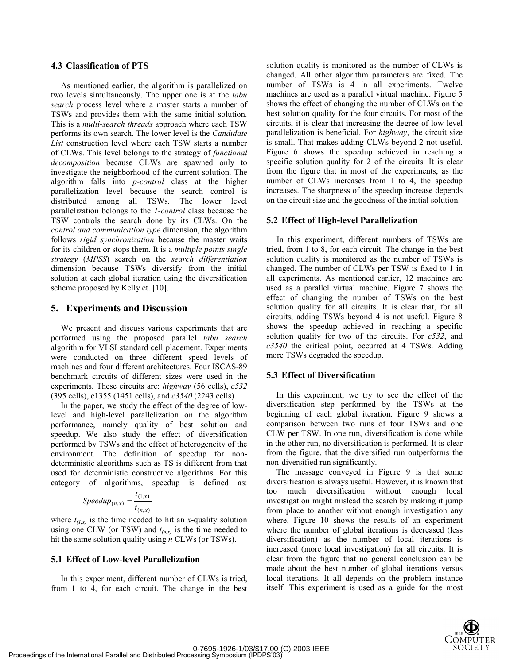#### **4.3 Classification of PTS**

As mentioned earlier, the algorithm is parallelized on two levels simultaneously. The upper one is at the *tabu search* process level where a master starts a number of TSWs and provides them with the same initial solution. This is a *multi-search threads* approach where each TSW performs its own search. The lower level is the *Candidate List* construction level where each TSW starts a number of CLWs. This level belongs to the strategy of *functional decomposition* because CLWs are spawned only to investigate the neighborhood of the current solution. The algorithm falls into *p-control* class at the higher parallelization level because the search control is distributed among all TSWs. The lower level parallelization belongs to the *1-control* class because the TSW controls the search done by its CLWs. On the *control and communication type* dimension, the algorithm follows *rigid synchronization* because the master waits for its children or stops them. It is a *multiple points single strategy* (*MPSS*) search on the *search differentiation* dimension because TSWs diversify from the initial solution at each global iteration using the diversification scheme proposed by Kelly et. [10].

### **5. Experiments and Discussion**

We present and discuss various experiments that are performed using the proposed parallel *tabu search* algorithm for VLSI standard cell placement. Experiments were conducted on three different speed levels of machines and four different architectures. Four ISCAS-89 benchmark circuits of different sizes were used in the experiments. These circuits are: *highway* (56 cells), *c532* (395 cells), c1355 (1451 cells), and *c3540* (2243 cells).

In the paper, we study the effect of the degree of lowlevel and high-level parallelization on the algorithm performance, namely quality of best solution and speedup. We also study the effect of diversification performed by TSWs and the effect of heterogeneity of the environment. The definition of speedup for nondeterministic algorithms such as TS is different from that used for deterministic constructive algorithms. For this category of algorithms, speedup is defined as:

$$
Speedup_{(n,x)} = \frac{t_{(1,x)}}{t_{(n,x)}}
$$

where  $t_{(1,x)}$  is the time needed to hit an *x*-quality solution using one CLW (or TSW) and  $t_{(n,x)}$  is the time needed to hit the same solution quality using *n* CLWs (or TSWs).

### **5.1 Effect of Low-level Parallelization**

In this experiment, different number of CLWs is tried, from 1 to 4, for each circuit. The change in the best solution quality is monitored as the number of CLWs is changed. All other algorithm parameters are fixed. The number of TSWs is 4 in all experiments. Twelve machines are used as a parallel virtual machine. Figure 5 shows the effect of changing the number of CLWs on the best solution quality for the four circuits. For most of the circuits, it is clear that increasing the degree of low level parallelization is beneficial. For *highway*, the circuit size is small. That makes adding CLWs beyond 2 not useful. Figure 6 shows the speedup achieved in reaching a specific solution quality for 2 of the circuits. It is clear from the figure that in most of the experiments, as the number of CLWs increases from 1 to 4, the speedup increases. The sharpness of the speedup increase depends on the circuit size and the goodness of the initial solution.

#### **5.2 Effect of High-level Parallelization**

In this experiment, different numbers of TSWs are tried, from 1 to 8, for each circuit. The change in the best solution quality is monitored as the number of TSWs is changed. The number of CLWs per TSW is fixed to 1 in all experiments. As mentioned earlier, 12 machines are used as a parallel virtual machine. Figure 7 shows the effect of changing the number of TSWs on the best solution quality for all circuits. It is clear that, for all circuits, adding TSWs beyond 4 is not useful. Figure 8 shows the speedup achieved in reaching a specific solution quality for two of the circuits. For *c532*, and *c3540* the critical point, occurred at 4 TSWs. Adding more TSWs degraded the speedup.

### **5.3 Effect of Diversification**

In this experiment, we try to see the effect of the diversification step performed by the TSWs at the beginning of each global iteration. Figure 9 shows a comparison between two runs of four TSWs and one CLW per TSW. In one run, diversification is done while in the other run, no diversification is performed. It is clear from the figure, that the diversified run outperforms the non-diversified run significantly.

The message conveyed in Figure 9 is that some diversification is always useful. However, it is known that too much diversification without enough local investigation might mislead the search by making it jump from place to another without enough investigation any where. Figure 10 shows the results of an experiment where the number of global iterations is decreased (less diversification) as the number of local iterations is increased (more local investigation) for all circuits. It is clear from the figure that no general conclusion can be made about the best number of global iterations versus local iterations. It all depends on the problem instance itself. This experiment is used as a guide for the most

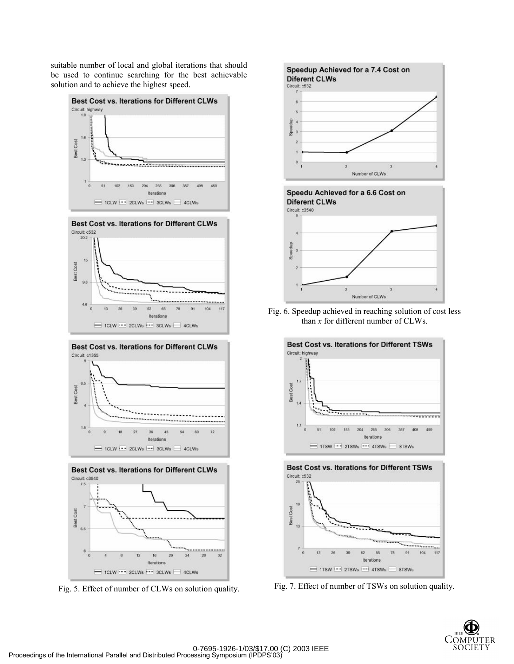suitable number of local and global iterations that should be used to continue searching for the best achievable solution and to achieve the highest speed.











Fig. 5. Effect of number of CLWs on solution quality.





Fig. 6. Speedup achieved in reaching solution of cost less than *x* for different number of CLWs.



**Best Cost vs. Iterations for Different TSWs** Circuit: c532  $2t$ 19 Best Cost  $\ddot{13}$  $\overline{a}$  $13$  $52$ 65  $Q<sub>1</sub>$ 104  $117$  $28$ 39  $75$ Iterations 1TSW -- 2TSWs -- 4TSWs 3TSWs



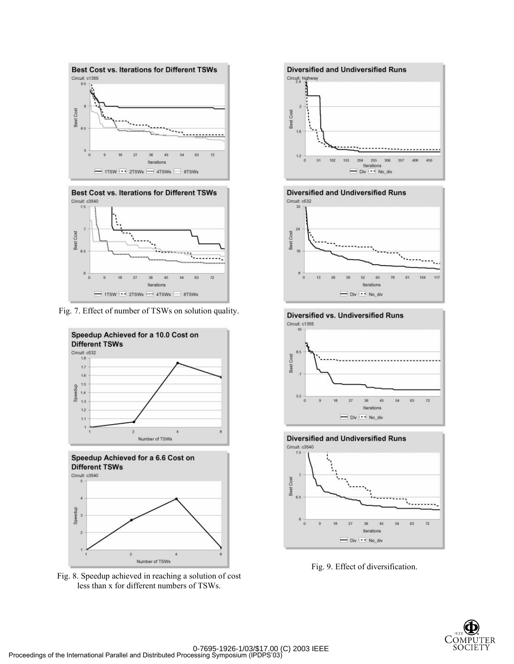





Fig. 7. Effect of number of TSWs on solution quality.



Fig. 8. Speedup achieved in reaching a solution of cost less than x for different numbers of TSWs.



**Diversified and Undiversified Runs** Circuit: c532  $\overline{x}$  $\overline{24}$ Best Cost 16  $_{\rm 8}$  $117$  $13$  $\overline{0}$  $26$ 39  $52$ 65  $78$ 91 104 Iterations Div -- No\_div

**Diversified vs. Undiversified Runs** 





Fig. 9. Effect of diversification.

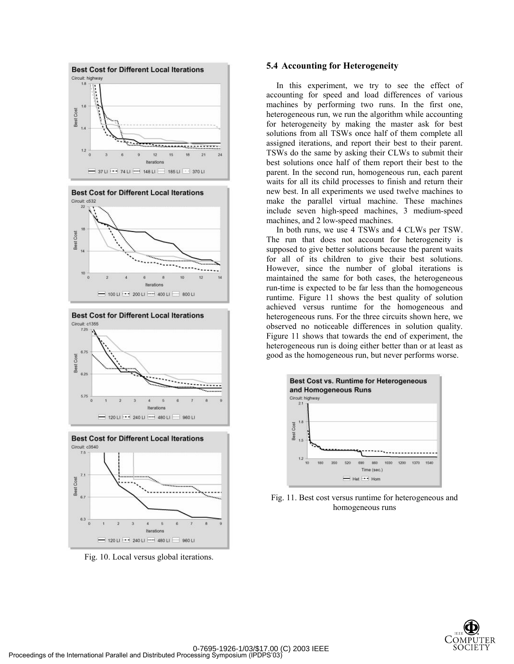









Fig. 10. Local versus global iterations.

### **5.4 Accounting for Heterogeneity**

In this experiment, we try to see the effect of accounting for speed and load differences of various machines by performing two runs. In the first one, heterogeneous run, we run the algorithm while accounting for heterogeneity by making the master ask for best solutions from all TSWs once half of them complete all assigned iterations, and report their best to their parent. TSWs do the same by asking their CLWs to submit their best solutions once half of them report their best to the parent. In the second run, homogeneous run, each parent waits for all its child processes to finish and return their new best. In all experiments we used twelve machines to make the parallel virtual machine. These machines include seven high-speed machines, 3 medium-speed machines, and 2 low-speed machines.

In both runs, we use 4 TSWs and 4 CLWs per TSW. The run that does not account for heterogeneity is supposed to give better solutions because the parent waits for all of its children to give their best solutions. However, since the number of global iterations is maintained the same for both cases, the heterogeneous run-time is expected to be far less than the homogeneous runtime. Figure 11 shows the best quality of solution achieved versus runtime for the homogeneous and heterogeneous runs. For the three circuits shown here, we observed no noticeable differences in solution quality. Figure 11 shows that towards the end of experiment, the heterogeneous run is doing either better than or at least as good as the homogeneous run, but never performs worse.



Fig. 11. Best cost versus runtime for heterogeneous and homogeneous runs